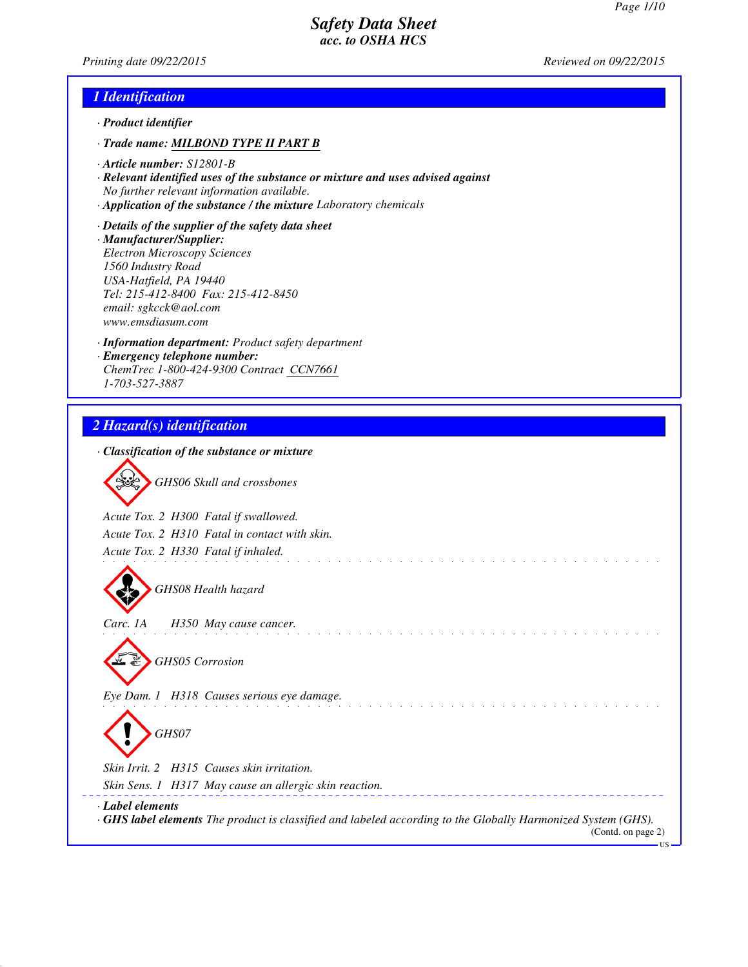*Printing date 09/22/2015 Reviewed on 09/22/2015*

## *1 Identification*

- *· Product identifier*
- *· Trade name: MILBOND TYPE II PART B*
- *· Article number: S12801-B*
- *· Relevant identified uses of the substance or mixture and uses advised against No further relevant information available.*
- *· Application of the substance / the mixture Laboratory chemicals*
- *· Details of the supplier of the safety data sheet · Manufacturer/Supplier: Electron Microscopy Sciences 1560 Industry Road USA-Hatfield, PA 19440 Tel: 215-412-8400 Fax: 215-412-8450 email: sgkcck@aol.com www.emsdiasum.com*
- *· Information department: Product safety department · Emergency telephone number: ChemTrec 1-800-424-9300 Contract CCN7661 1-703-527-3887*

# *2 Hazard(s) identification*

|                  | · Classification of the substance or mixture                                                                       |
|------------------|--------------------------------------------------------------------------------------------------------------------|
|                  | GHS06 Skull and crossbones                                                                                         |
|                  |                                                                                                                    |
|                  | Acute Tox. 2 H300 Fatal if swallowed.                                                                              |
|                  | Acute Tox. 2 H310 Fatal in contact with skin.                                                                      |
|                  | Acute Tox. 2 H330 Fatal if inhaled.                                                                                |
|                  |                                                                                                                    |
|                  | GHS08 Health hazard                                                                                                |
|                  |                                                                                                                    |
| Carc. 1A         | H350 May cause cancer.                                                                                             |
|                  |                                                                                                                    |
|                  | <b>GHS05 Corrosion</b>                                                                                             |
|                  |                                                                                                                    |
|                  | Eye Dam. 1 H318 Causes serious eye damage.                                                                         |
|                  |                                                                                                                    |
|                  | GHS07                                                                                                              |
|                  |                                                                                                                    |
|                  | Skin Irrit. 2 H315 Causes skin irritation.                                                                         |
|                  | Skin Sens. 1 H317 May cause an allergic skin reaction.                                                             |
| · Label elements |                                                                                                                    |
|                  | <b>GHS label elements</b> The product is classified and labeled according to the Globally Harmonized System (GHS). |
|                  | (Contd. on page 2)<br>US –                                                                                         |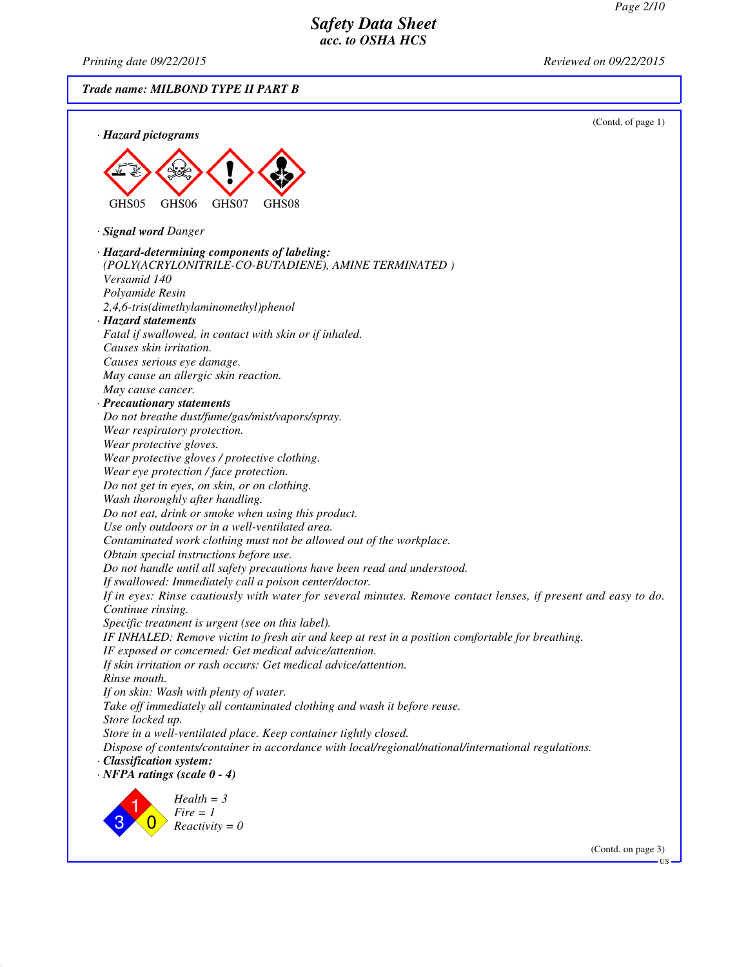*Printing date 09/22/2015 Reviewed on 09/22/2015*

*Trade name: MILBOND TYPE II PART B*



(Contd. on page 3)

US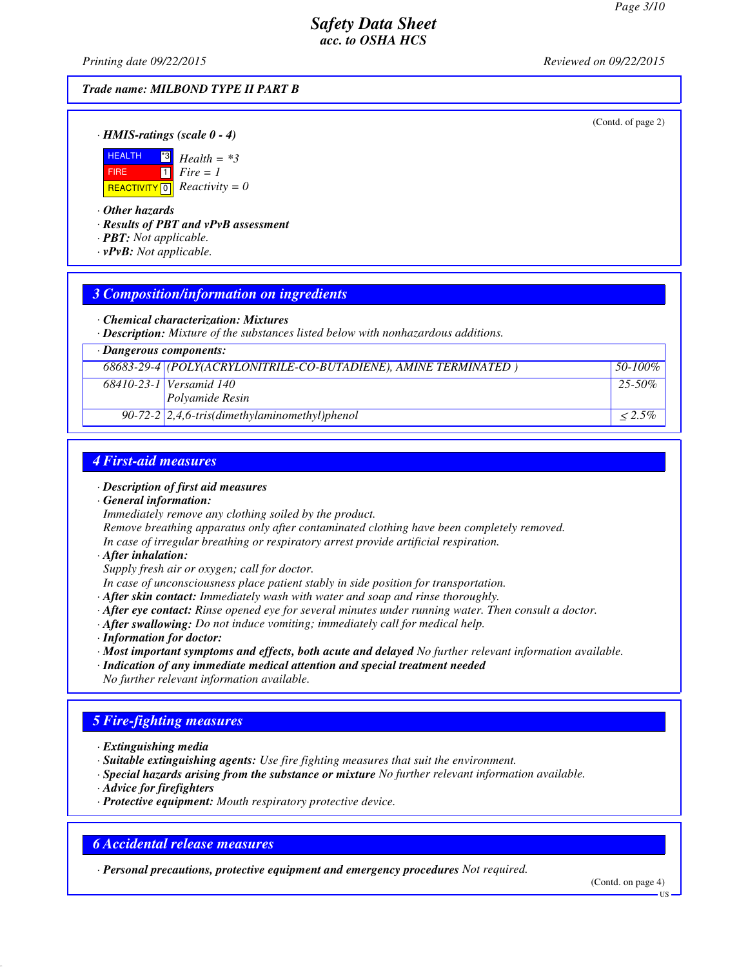*Printing date 09/22/2015 Reviewed on 09/22/2015*

#### *Trade name: MILBOND TYPE II PART B*

(Contd. of page 2)

*· HMIS-ratings (scale 0 - 4)*



*· Other hazards*

*· Results of PBT and vPvB assessment*

- *· PBT: Not applicable.*
- *· vPvB: Not applicable.*

#### *3 Composition/information on ingredients*

*· Chemical characterization: Mixtures*

*· Description: Mixture of the substances listed below with nonhazardous additions.*

| $\cdot$ Dangerous components: |                                                                 |             |
|-------------------------------|-----------------------------------------------------------------|-------------|
|                               | 68683-29-4 (POLY(ACRYLONITRILE-CO-BUTADIENE), AMINE TERMINATED) | 50-100%     |
|                               | 68410-23-1 Versamid 140                                         | $25 - 50\%$ |
|                               | Polyamide Resin                                                 |             |
|                               | 90-72-2 $\left[2,4,6\right]$ -tris(dimethylaminomethyl)phenol   | $< 2.5\%$   |

### *4 First-aid measures*

- *· Description of first aid measures*
- *· General information:*

*Immediately remove any clothing soiled by the product.*

*Remove breathing apparatus only after contaminated clothing have been completely removed.*

*In case of irregular breathing or respiratory arrest provide artificial respiration.*

*· After inhalation:*

*Supply fresh air or oxygen; call for doctor.*

- *In case of unconsciousness place patient stably in side position for transportation.*
- *· After skin contact: Immediately wash with water and soap and rinse thoroughly.*
- *· After eye contact: Rinse opened eye for several minutes under running water. Then consult a doctor.*
- *· After swallowing: Do not induce vomiting; immediately call for medical help.*
- *· Information for doctor:*
- *· Most important symptoms and effects, both acute and delayed No further relevant information available.*
- *· Indication of any immediate medical attention and special treatment needed*
- *No further relevant information available.*

### *5 Fire-fighting measures*

- *· Extinguishing media*
- *· Suitable extinguishing agents: Use fire fighting measures that suit the environment.*
- *· Special hazards arising from the substance or mixture No further relevant information available.*
- *· Advice for firefighters*
- *· Protective equipment: Mouth respiratory protective device.*

### *6 Accidental release measures*

*· Personal precautions, protective equipment and emergency procedures Not required.*

(Contd. on page 4)

US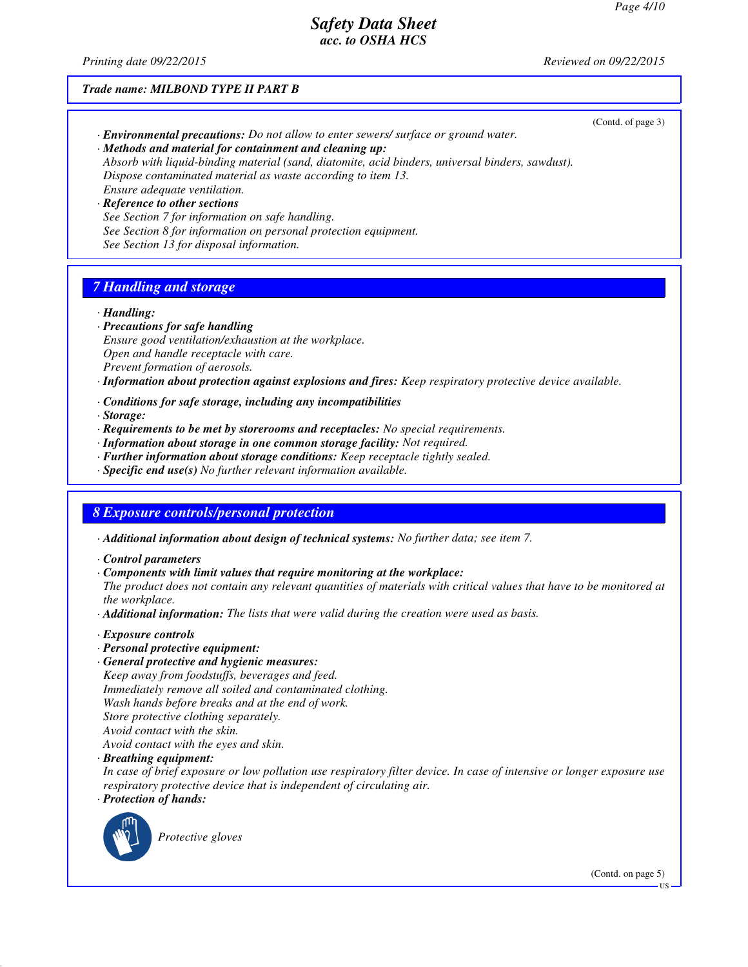(Contd. of page 3)

# *Safety Data Sheet acc. to OSHA HCS*

*Printing date 09/22/2015 Reviewed on 09/22/2015*

#### *Trade name: MILBOND TYPE II PART B*

- *· Environmental precautions: Do not allow to enter sewers/ surface or ground water.*
- *· Methods and material for containment and cleaning up:*

*Absorb with liquid-binding material (sand, diatomite, acid binders, universal binders, sawdust). Dispose contaminated material as waste according to item 13. Ensure adequate ventilation.*

*· Reference to other sections See Section 7 for information on safe handling. See Section 8 for information on personal protection equipment. See Section 13 for disposal information.*

# *7 Handling and storage*

- *· Handling:*
- *· Precautions for safe handling Ensure good ventilation/exhaustion at the workplace. Open and handle receptacle with care. Prevent formation of aerosols.*

*· Information about protection against explosions and fires: Keep respiratory protective device available.*

- *· Conditions for safe storage, including any incompatibilities*
- *· Storage:*
- *· Requirements to be met by storerooms and receptacles: No special requirements.*
- *· Information about storage in one common storage facility: Not required.*
- *· Further information about storage conditions: Keep receptacle tightly sealed.*
- *· Specific end use(s) No further relevant information available.*

#### *8 Exposure controls/personal protection*

- *· Additional information about design of technical systems: No further data; see item 7.*
- *· Control parameters*
- *· Components with limit values that require monitoring at the workplace:*

*The product does not contain any relevant quantities of materials with critical values that have to be monitored at the workplace.*

- *· Additional information: The lists that were valid during the creation were used as basis.*
- *· Exposure controls*
- *· Personal protective equipment:*
- *· General protective and hygienic measures:*

*Keep away from foodstuffs, beverages and feed. Immediately remove all soiled and contaminated clothing. Wash hands before breaks and at the end of work. Store protective clothing separately. Avoid contact with the skin. Avoid contact with the eyes and skin.*

*· Breathing equipment:*

*In case of brief exposure or low pollution use respiratory filter device. In case of intensive or longer exposure use respiratory protective device that is independent of circulating air.*

*· Protection of hands:*



*Protective gloves*

(Contd. on page 5)

US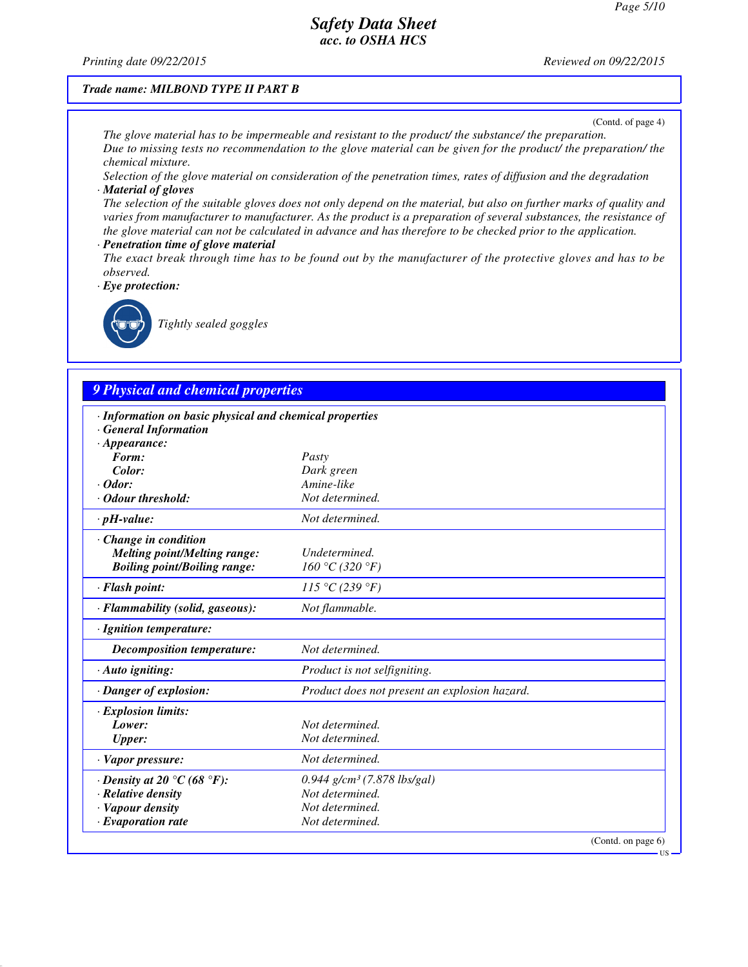*Printing date 09/22/2015 Reviewed on 09/22/2015*

#### *Trade name: MILBOND TYPE II PART B*

(Contd. of page 4)

*The glove material has to be impermeable and resistant to the product/ the substance/ the preparation. Due to missing tests no recommendation to the glove material can be given for the product/ the preparation/ the chemical mixture.*

*Selection of the glove material on consideration of the penetration times, rates of diffusion and the degradation · Material of gloves*

*The selection of the suitable gloves does not only depend on the material, but also on further marks of quality and varies from manufacturer to manufacturer. As the product is a preparation of several substances, the resistance of the glove material can not be calculated in advance and has therefore to be checked prior to the application.*

- *· Penetration time of glove material*
- *The exact break through time has to be found out by the manufacturer of the protective gloves and has to be observed.*

*· Eye protection:*



*Tightly sealed goggles*

# *9 Physical and chemical properties*

| · Information on basic physical and chemical properties<br><b>General Information</b> |                                               |                    |
|---------------------------------------------------------------------------------------|-----------------------------------------------|--------------------|
| $\cdot$ Appearance:                                                                   |                                               |                    |
| Form:                                                                                 | Pasty                                         |                    |
| Color:                                                                                | Dark green                                    |                    |
| $\cdot$ Odor:                                                                         | Amine-like                                    |                    |
| Odour threshold:                                                                      | Not determined.                               |                    |
| $\cdot$ pH-value:                                                                     | Not determined.                               |                    |
| $\cdot$ Change in condition                                                           |                                               |                    |
| <b>Melting point/Melting range:</b>                                                   | <b>Undetermined</b>                           |                    |
| <b>Boiling point/Boiling range:</b>                                                   | 160 °C (320 °F)                               |                    |
| · Flash point:                                                                        | 115 °C (239 °F)                               |                    |
| · Flammability (solid, gaseous):                                                      | Not flammable.                                |                    |
| · Ignition temperature:                                                               |                                               |                    |
| Decomposition temperature:                                                            | Not determined.                               |                    |
| · Auto igniting:                                                                      | Product is not selfigniting.                  |                    |
| · Danger of explosion:                                                                | Product does not present an explosion hazard. |                    |
| $\cdot$ Explosion limits:                                                             |                                               |                    |
| Lower:                                                                                | Not determined.                               |                    |
| <b>Upper:</b>                                                                         | Not determined.                               |                    |
| $\cdot$ Vapor pressure:                                                               | Not determined.                               |                    |
| $\cdot$ Density at 20 $\degree$ C (68 $\degree$ F):                                   | $0.944$ g/cm <sup>3</sup> (7.878 lbs/gal)     |                    |
| $\cdot$ Relative density                                                              | Not determined.                               |                    |
| · Vapour density                                                                      | Not determined.                               |                    |
| $\cdot$ Evaporation rate                                                              | Not determined.                               |                    |
|                                                                                       |                                               | (Contd. on page 6) |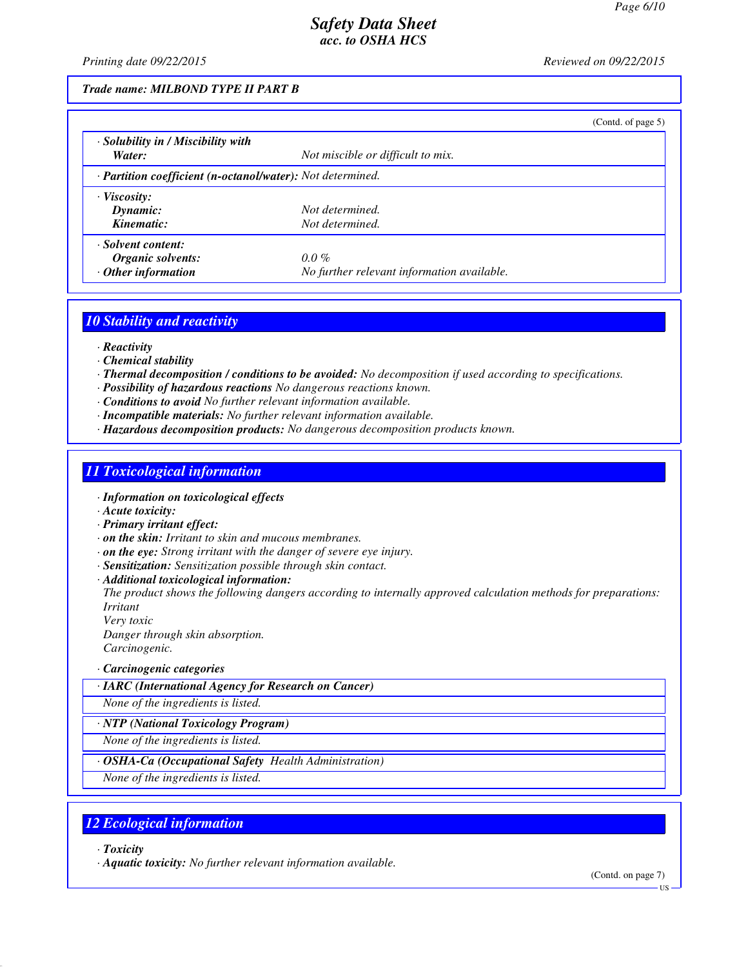*Printing date 09/22/2015 Reviewed on 09/22/2015*

#### *Trade name: MILBOND TYPE II PART B*

|                                                            |                                            | (Cond. of page 5) |
|------------------------------------------------------------|--------------------------------------------|-------------------|
| · Solubility in / Miscibility with                         |                                            |                   |
| Water:                                                     | Not miscible or difficult to mix.          |                   |
| · Partition coefficient (n-octanol/water): Not determined. |                                            |                   |
| $\cdot$ Viscosity:                                         |                                            |                   |
| Dynamic:                                                   | Not determined.                            |                   |
| Kinematic:                                                 | Not determined.                            |                   |
| · Solvent content:                                         |                                            |                   |
| Organic solvents:                                          | $0.0\%$                                    |                   |
| $\cdot$ Other information                                  | No further relevant information available. |                   |

### *10 Stability and reactivity*

- *· Reactivity*
- *· Chemical stability*
- *· Thermal decomposition / conditions to be avoided: No decomposition if used according to specifications.*
- *· Possibility of hazardous reactions No dangerous reactions known.*
- *· Conditions to avoid No further relevant information available.*
- *· Incompatible materials: No further relevant information available.*
- *· Hazardous decomposition products: No dangerous decomposition products known.*

### *11 Toxicological information*

- *· Information on toxicological effects*
- *· Acute toxicity:*
- *· Primary irritant effect:*
- *· on the skin: Irritant to skin and mucous membranes.*
- *· on the eye: Strong irritant with the danger of severe eye injury.*
- *· Sensitization: Sensitization possible through skin contact.*
- *· Additional toxicological information:*

*The product shows the following dangers according to internally approved calculation methods for preparations: Irritant*

*Very toxic*

*Danger through skin absorption.*

- *Carcinogenic.*
- *· Carcinogenic categories*
- *· IARC (International Agency for Research on Cancer)*
- *None of the ingredients is listed.*
- *· NTP (National Toxicology Program)*
- *None of the ingredients is listed.*
- *· OSHA-Ca (Occupational Safety Health Administration)*
- *None of the ingredients is listed.*

### *12 Ecological information*

- *· Toxicity*
- *· Aquatic toxicity: No further relevant information available.*

(Contd. on page 7)

US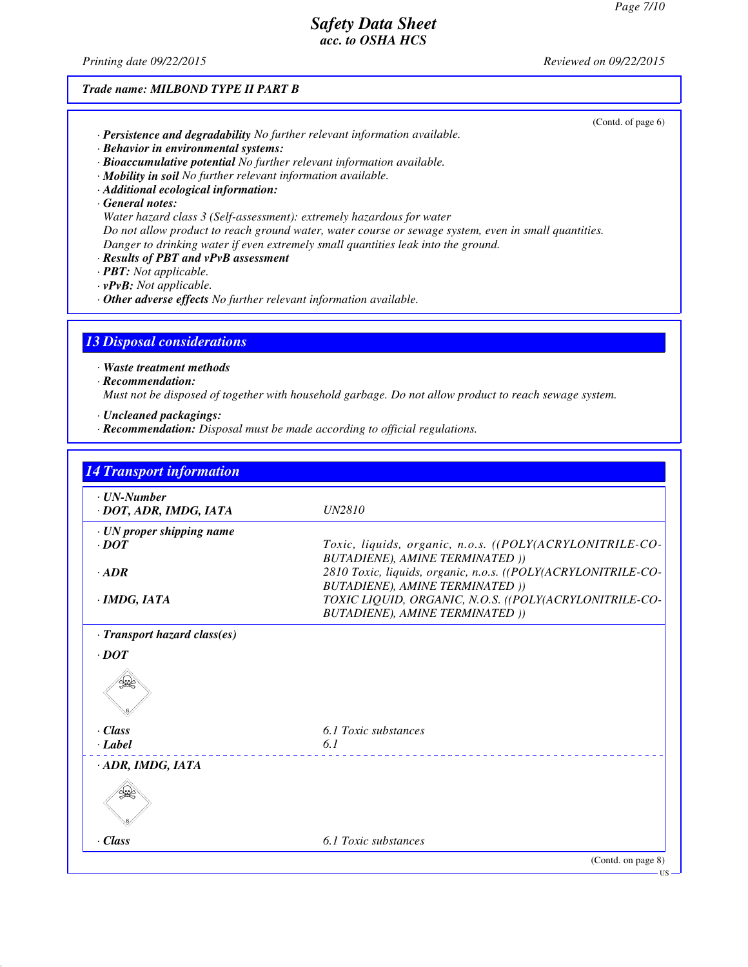(Contd. of page 6)

# *Safety Data Sheet acc. to OSHA HCS*

*Printing date 09/22/2015 Reviewed on 09/22/2015*

#### *Trade name: MILBOND TYPE II PART B*

| · Persistence and degradability No further relevant information available. |  |  |  |
|----------------------------------------------------------------------------|--|--|--|
|----------------------------------------------------------------------------|--|--|--|

- *· Behavior in environmental systems:*
- *· Bioaccumulative potential No further relevant information available.*
- *· Mobility in soil No further relevant information available.*
- *· Additional ecological information:*
- *· General notes:*
- *Water hazard class 3 (Self-assessment): extremely hazardous for water Do not allow product to reach ground water, water course or sewage system, even in small quantities. Danger to drinking water if even extremely small quantities leak into the ground.*
- *· Results of PBT and vPvB assessment*
- *· PBT: Not applicable.*
- *· vPvB: Not applicable.*
- *· Other adverse effects No further relevant information available.*

### *13 Disposal considerations*

*· Waste treatment methods*

*· Recommendation:*

*Must not be disposed of together with household garbage. Do not allow product to reach sewage system.*

- *· Uncleaned packagings:*
- *· Recommendation: Disposal must be made according to official regulations.*

| $\cdot$ UN-Number<br>· DOT, ADR, IMDG, IATA           | <i>UN2810</i>                                                                                           |
|-------------------------------------------------------|---------------------------------------------------------------------------------------------------------|
| $\cdot$ UN proper shipping name<br>$\cdot$ <i>DOT</i> | Toxic, liquids, organic, n.o.s. ((POLY(ACRYLONITRILE-CO-<br><b>BUTADIENE), AMINE TERMINATED ()</b>      |
| $-ADR$                                                | 2810 Toxic, liquids, organic, n.o.s. ((POLY(ACRYLONITRILE-CO-<br><b>BUTADIENE), AMINE TERMINATED ))</b> |
| $\cdot$ IMDG, IATA                                    | TOXIC LIQUID, ORGANIC, N.O.S. ((POLY(ACRYLONITRILE-CO-<br><b>BUTADIENE), AMINE TERMINATED ))</b>        |
| · Transport hazard class(es)                          |                                                                                                         |
| $\cdot$ DOT                                           |                                                                                                         |
|                                                       |                                                                                                         |
| $\cdot$ Class<br>· Label                              | 6.1 Toxic substances<br>6.1                                                                             |
| $\cdot$ ADR, IMDG, IATA                               |                                                                                                         |
|                                                       |                                                                                                         |
| $\cdot$ Class                                         | 6.1 Toxic substances                                                                                    |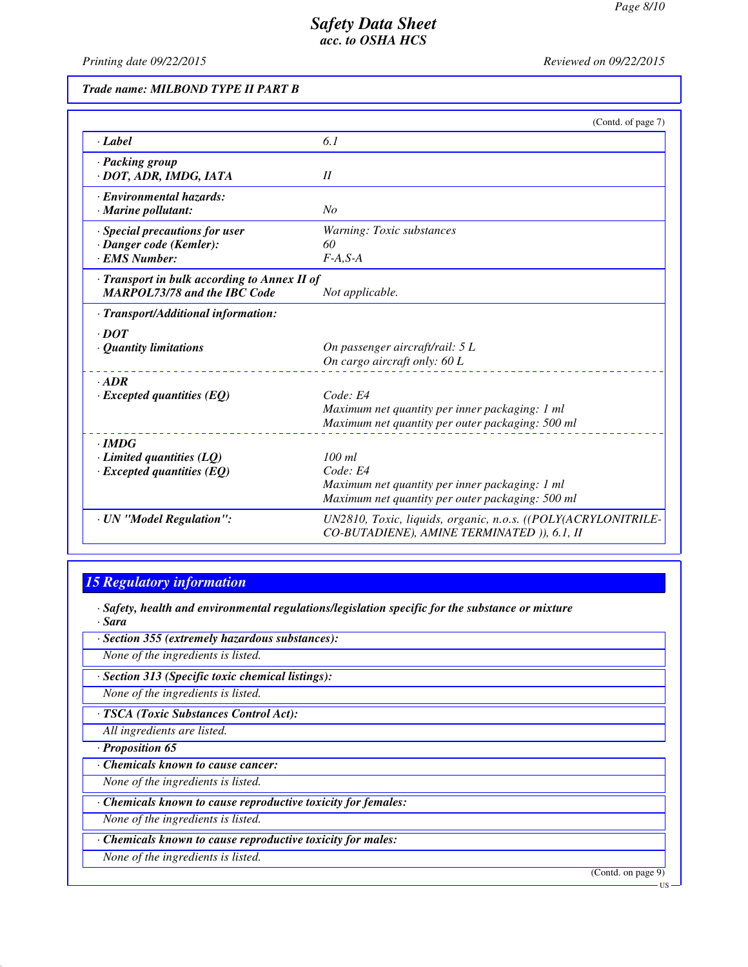*Printing date 09/22/2015 Reviewed on 09/22/2015*

### *Trade name: MILBOND TYPE II PART B*

|                                                                                     | (Contd. of page 7)                                                                                                         |
|-------------------------------------------------------------------------------------|----------------------------------------------------------------------------------------------------------------------------|
| · Label                                                                             | 6.1                                                                                                                        |
| · Packing group<br>· DOT, ADR, IMDG, IATA                                           | II                                                                                                                         |
| · Environmental hazards:<br>· Marine pollutant:                                     | No                                                                                                                         |
| · Special precautions for user<br>· Danger code (Kemler):<br><b>EMS Number:</b>     | Warning: Toxic substances<br>60<br>$F-A, S-A$                                                                              |
| · Transport in bulk according to Annex II of<br><b>MARPOL73/78 and the IBC Code</b> | Not applicable.                                                                                                            |
| · Transport/Additional information:                                                 |                                                                                                                            |
| $\cdot$ DOT<br>· Quantity limitations                                               | On passenger aircraft/rail: 5 L<br>On cargo aircraft only: 60 L                                                            |
| $-ADR$<br>$\cdot$ Excepted quantities (EQ)                                          | Code: E4<br>Maximum net quantity per inner packaging: 1 ml<br>Maximum net quantity per outer packaging: 500 ml             |
| $\cdot$ IMDG<br>$\cdot$ Limited quantities (LQ)<br>$\cdot$ Excepted quantities (EQ) | $100$ ml<br>Code: E4<br>Maximum net quantity per inner packaging: 1 ml<br>Maximum net quantity per outer packaging: 500 ml |
| · UN "Model Regulation":                                                            | UN2810, Toxic, liquids, organic, n.o.s. ((POLY(ACRYLONITRILE-<br>CO-BUTADIENE), AMINE TERMINATED )), 6.1, II               |

# *15 Regulatory information*

*· Safety, health and environmental regulations/legislation specific for the substance or mixture · Sara*

*· Section 355 (extremely hazardous substances):*

*None of the ingredients is listed.*

*· Section 313 (Specific toxic chemical listings):*

*None of the ingredients is listed.*

*· TSCA (Toxic Substances Control Act):*

*All ingredients are listed.*

*· Proposition 65*

*· Chemicals known to cause cancer:*

*None of the ingredients is listed.*

*· Chemicals known to cause reproductive toxicity for females:*

*None of the ingredients is listed.*

*· Chemicals known to cause reproductive toxicity for males:*

*None of the ingredients is listed.*

(Contd. on page 9)

US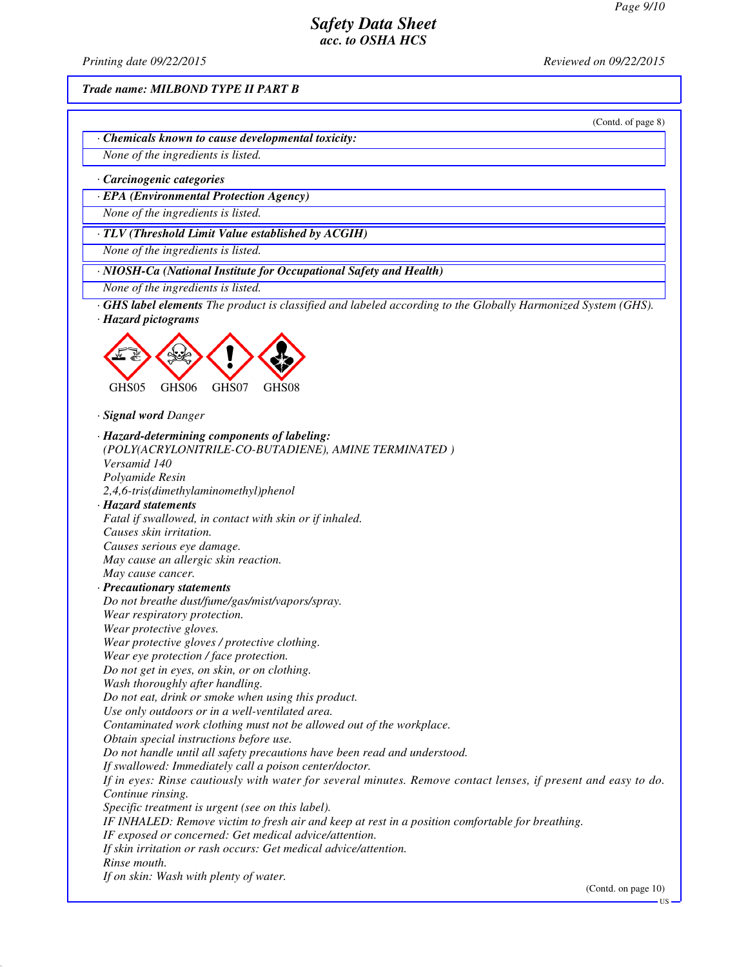*Printing date 09/22/2015 Reviewed on 09/22/2015*

*Trade name: MILBOND TYPE II PART B*

(Contd. of page 8)

*· Chemicals known to cause developmental toxicity:*

*None of the ingredients is listed.*

*· Carcinogenic categories*

*· EPA (Environmental Protection Agency)*

*None of the ingredients is listed.*

*· TLV (Threshold Limit Value established by ACGIH)*

*None of the ingredients is listed.*

*· NIOSH-Ca (National Institute for Occupational Safety and Health)*

*None of the ingredients is listed.*

*· GHS label elements The product is classified and labeled according to the Globally Harmonized System (GHS). · Hazard pictograms*



*· Signal word Danger*

*· Hazard-determining components of labeling: (POLY(ACRYLONITRILE-CO-BUTADIENE), AMINE TERMINATED ) Versamid 140 Polyamide Resin 2,4,6-tris(dimethylaminomethyl)phenol · Hazard statements Fatal if swallowed, in contact with skin or if inhaled. Causes skin irritation. Causes serious eye damage. May cause an allergic skin reaction. May cause cancer. · Precautionary statements Do not breathe dust/fume/gas/mist/vapors/spray. Wear respiratory protection. Wear protective gloves. Wear protective gloves / protective clothing. Wear eye protection / face protection. Do not get in eyes, on skin, or on clothing. Wash thoroughly after handling. Do not eat, drink or smoke when using this product. Use only outdoors or in a well-ventilated area. Contaminated work clothing must not be allowed out of the workplace. Obtain special instructions before use. Do not handle until all safety precautions have been read and understood. If swallowed: Immediately call a poison center/doctor. If in eyes: Rinse cautiously with water for several minutes. Remove contact lenses, if present and easy to do. Continue rinsing. Specific treatment is urgent (see on this label). IF INHALED: Remove victim to fresh air and keep at rest in a position comfortable for breathing. IF exposed or concerned: Get medical advice/attention. If skin irritation or rash occurs: Get medical advice/attention. Rinse mouth. If on skin: Wash with plenty of water.*

(Contd. on page 10)

**TIS**